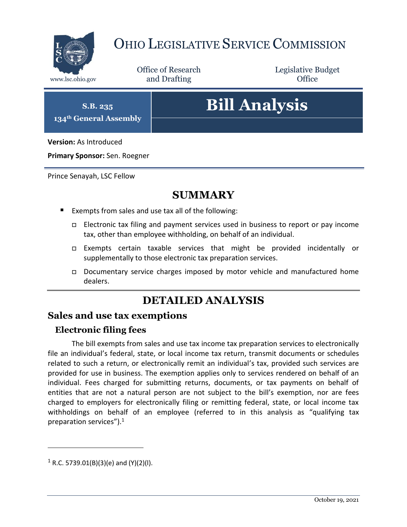

## OHIO LEGISLATIVE SERVICE COMMISSION

Office of Research www.lsc.ohio.gov **and Drafting Office** 

Legislative Budget

**S.B. 235 134th General Assembly**

# **Bill Analysis**

**Version:** As Introduced

**Primary Sponsor:** Sen. Roegner

Prince Senayah, LSC Fellow

## **SUMMARY**

- Exempts from sales and use tax all of the following:
	- $\Box$  Electronic tax filing and payment services used in business to report or pay income tax, other than employee withholding, on behalf of an individual.
	- Exempts certain taxable services that might be provided incidentally or supplementally to those electronic tax preparation services.
	- Documentary service charges imposed by motor vehicle and manufactured home dealers.

## **DETAILED ANALYSIS**

#### **Sales and use tax exemptions**

#### **Electronic filing fees**

The bill exempts from sales and use tax income tax preparation services to electronically file an individual's federal, state, or local income tax return, transmit documents or schedules related to such a return, or electronically remit an individual's tax, provided such services are provided for use in business. The exemption applies only to services rendered on behalf of an individual. Fees charged for submitting returns, documents, or tax payments on behalf of entities that are not a natural person are not subject to the bill's exemption, nor are fees charged to employers for electronically filing or remitting federal, state, or local income tax withholdings on behalf of an employee (referred to in this analysis as "qualifying tax preparation services"). $1$ 

 $\overline{a}$ 

 $1$  R.C. 5739.01(B)(3)(e) and (Y)(2)(I).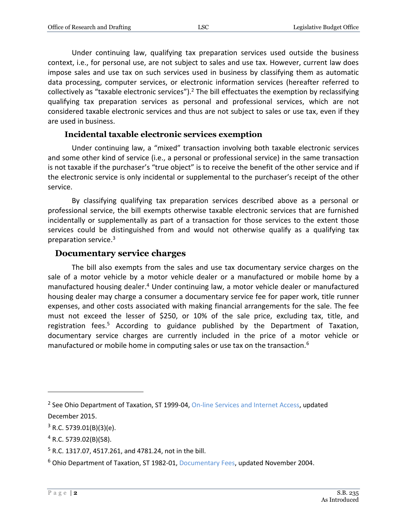Under continuing law, qualifying tax preparation services used outside the business context, i.e., for personal use, are not subject to sales and use tax. However, current law does impose sales and use tax on such services used in business by classifying them as automatic data processing, computer services, or electronic information services (hereafter referred to collectively as "taxable electronic services").<sup>2</sup> The bill effectuates the exemption by reclassifying qualifying tax preparation services as personal and professional services, which are not considered taxable electronic services and thus are not subject to sales or use tax, even if they are used in business.

#### **Incidental taxable electronic services exemption**

Under continuing law, a "mixed" transaction involving both taxable electronic services and some other kind of service (i.e., a personal or professional service) in the same transaction is not taxable if the purchaser's "true object" is to receive the benefit of the other service and if the electronic service is only incidental or supplemental to the purchaser's receipt of the other service.

By classifying qualifying tax preparation services described above as a personal or professional service, the bill exempts otherwise taxable electronic services that are furnished incidentally or supplementally as part of a transaction for those services to the extent those services could be distinguished from and would not otherwise qualify as a qualifying tax preparation service. 3

#### **Documentary service charges**

The bill also exempts from the sales and use tax documentary service charges on the sale of a motor vehicle by a motor vehicle dealer or a manufactured or mobile home by a manufactured housing dealer.<sup>4</sup> Under continuing law, a motor vehicle dealer or manufactured housing dealer may charge a consumer a documentary service fee for paper work, title runner expenses, and other costs associated with making financial arrangements for the sale. The fee must not exceed the lesser of \$250, or 10% of the sale price, excluding tax, title, and registration fees.<sup>5</sup> According to guidance published by the Department of Taxation, documentary service charges are currently included in the price of a motor vehicle or manufactured or mobile home in computing sales or use tax on the transaction.<sup>6</sup>

 $\overline{a}$ 

<sup>&</sup>lt;sup>2</sup> See Ohio Department of Taxation, ST 1999-04, [On-line Services and Internet Access,](http://www.tax.ohio.gov/sales_and_use/information_releases/index_sales.aspx) updated December 2015.

 $3$  R.C. 5739.01(B)(3)(e).

<sup>4</sup> R.C. 5739.02(B)(58).

<sup>5</sup> R.C. 1317.07, 4517.261, and 4781.24, not in the bill.

<sup>6</sup> Ohio Department of Taxation, ST 1982-01[, Documentary Fees,](https://tax.ohio.gov/wps/portal/gov/tax/business/ohio-business-taxes/sales-and-use/information-releases/st198201) updated November 2004.